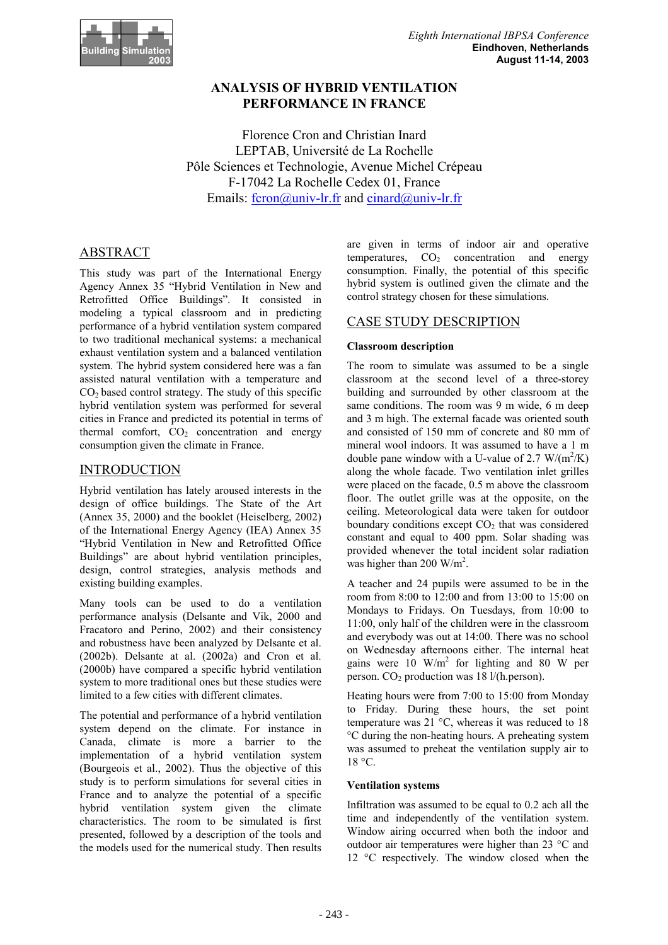

# **ANALYSIS OF HYBRID VENTILATION PERFORMANCE IN FRANCE**

Florence Cron and Christian Inard LEPTAB, Université de La Rochelle Pôle Sciences et Technologie, Avenue Michel Crépeau F-17042 La Rochelle Cedex 01, France Emails: fcron@univ-lr.fr and cinard@univ-lr.fr

# ABSTRACT

This study was part of the International Energy Agency Annex 35 "Hybrid Ventilation in New and Retrofitted Office Buildings". It consisted in modeling a typical classroom and in predicting performance of a hybrid ventilation system compared to two traditional mechanical systems: a mechanical exhaust ventilation system and a balanced ventilation system. The hybrid system considered here was a fan assisted natural ventilation with a temperature and  $CO<sub>2</sub>$  based control strategy. The study of this specific hybrid ventilation system was performed for several cities in France and predicted its potential in terms of thermal comfort,  $CO<sub>2</sub>$  concentration and energy consumption given the climate in France.

# INTRODUCTION

Hybrid ventilation has lately aroused interests in the design of office buildings. The State of the Art (Annex 35, 2000) and the booklet (Heiselberg, 2002) of the International Energy Agency (IEA) Annex 35 "Hybrid Ventilation in New and Retrofitted Office Buildings" are about hybrid ventilation principles, design, control strategies, analysis methods and existing building examples.

Many tools can be used to do a ventilation performance analysis (Delsante and Vik, 2000 and Fracatoro and Perino, 2002) and their consistency and robustness have been analyzed by Delsante et al. (2002b). Delsante at al. (2002a) and Cron et al. (2000b) have compared a specific hybrid ventilation system to more traditional ones but these studies were limited to a few cities with different climates.

The potential and performance of a hybrid ventilation system depend on the climate. For instance in Canada, climate is more a barrier to the implementation of a hybrid ventilation system (Bourgeois et al., 2002). Thus the objective of this study is to perform simulations for several cities in France and to analyze the potential of a specific hybrid ventilation system given the climate characteristics. The room to be simulated is first presented, followed by a description of the tools and the models used for the numerical study. Then results

are given in terms of indoor air and operative temperatures,  $CO<sub>2</sub>$  concentration and energy consumption. Finally, the potential of this specific hybrid system is outlined given the climate and the control strategy chosen for these simulations.

# CASE STUDY DESCRIPTION

## **Classroom description**

The room to simulate was assumed to be a single classroom at the second level of a three-storey building and surrounded by other classroom at the same conditions. The room was 9 m wide, 6 m deep and 3 m high. The external facade was oriented south and consisted of 150 mm of concrete and 80 mm of mineral wool indoors. It was assumed to have a 1 m double pane window with a U-value of 2.7  $W/(m^2/K)$ along the whole facade. Two ventilation inlet grilles were placed on the facade, 0.5 m above the classroom floor. The outlet grille was at the opposite, on the ceiling. Meteorological data were taken for outdoor boundary conditions except  $CO<sub>2</sub>$  that was considered constant and equal to 400 ppm. Solar shading was provided whenever the total incident solar radiation was higher than 200 W/m<sup>2</sup>.

A teacher and 24 pupils were assumed to be in the room from 8:00 to 12:00 and from 13:00 to 15:00 on Mondays to Fridays. On Tuesdays, from 10:00 to 11:00, only half of the children were in the classroom and everybody was out at 14:00. There was no school on Wednesday afternoons either. The internal heat gains were 10  $\text{W/m}^2$  for lighting and 80 W per person.  $CO<sub>2</sub>$  production was 18 l/(h.person).

Heating hours were from 7:00 to 15:00 from Monday to Friday. During these hours, the set point temperature was  $21^{\circ}$ C, whereas it was reduced to 18 °C during the non-heating hours. A preheating system was assumed to preheat the ventilation supply air to  $18 \text{ °C}$ .

## **Ventilation systems**

Infiltration was assumed to be equal to 0.2 ach all the time and independently of the ventilation system. Window airing occurred when both the indoor and outdoor air temperatures were higher than 23 °C and 12 °C respectively. The window closed when the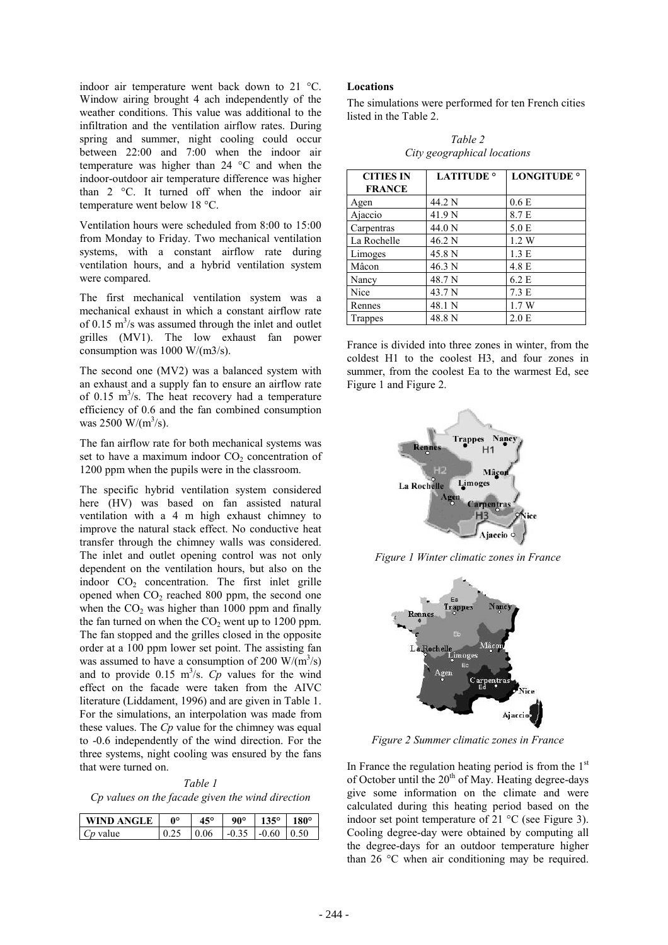indoor air temperature went back down to 21 °C. Window airing brought 4 ach independently of the weather conditions. This value was additional to the infiltration and the ventilation airflow rates. During spring and summer, night cooling could occur between 22:00 and 7:00 when the indoor air temperature was higher than 24 °C and when the indoor-outdoor air temperature difference was higher than 2 °C. It turned off when the indoor air temperature went below 18 °C.

Ventilation hours were scheduled from 8:00 to 15:00 from Monday to Friday. Two mechanical ventilation systems, with a constant airflow rate during ventilation hours, and a hybrid ventilation system were compared.

The first mechanical ventilation system was a mechanical exhaust in which a constant airflow rate of 0.15  $\text{m}^3$ /s was assumed through the inlet and outlet grilles (MV1). The low exhaust fan power consumption was 1000 W/(m3/s).

The second one (MV2) was a balanced system with an exhaust and a supply fan to ensure an airflow rate of 0.15  $\text{m}^3$ /s. The heat recovery had a temperature efficiency of 0.6 and the fan combined consumption was 2500 W/( $\rm{m}^{3}/\rm{s}$ ).

The fan airflow rate for both mechanical systems was set to have a maximum indoor  $CO<sub>2</sub>$  concentration of 1200 ppm when the pupils were in the classroom.

The specific hybrid ventilation system considered here (HV) was based on fan assisted natural ventilation with a 4 m high exhaust chimney to improve the natural stack effect. No conductive heat transfer through the chimney walls was considered. The inlet and outlet opening control was not only dependent on the ventilation hours, but also on the indoor  $CO<sub>2</sub>$  concentration. The first inlet grille opened when  $CO<sub>2</sub>$  reached 800 ppm, the second one when the  $CO<sub>2</sub>$  was higher than 1000 ppm and finally the fan turned on when the  $CO<sub>2</sub>$  went up to 1200 ppm. The fan stopped and the grilles closed in the opposite order at a 100 ppm lower set point. The assisting fan was assumed to have a consumption of 200  $W/(m^3/s)$ and to provide  $0.15 \text{ m}^3/\text{s}$ . *Cp* values for the wind effect on the facade were taken from the AIVC literature (Liddament, 1996) and are given in Table 1. For the simulations, an interpolation was made from these values. The *Cp* value for the chimney was equal to -0.6 independently of the wind direction. For the three systems, night cooling was ensured by the fans that were turned on.

*Table 1 Cp values on the facade given the wind direction*

| WIND ANGLE | ഹം | $45^{\circ}$                         | $90^{\circ}$   135°   180° |  |
|------------|----|--------------------------------------|----------------------------|--|
| $Cp$ value |    | $0.25$   0.06   -0.35   -0.60   0.50 |                            |  |

#### **Locations**

The simulations were performed for ten French cities listed in the Table 2.

*Table 2 City geographical locations*

| <b>CITIES IN</b> | <b>LATITUDE</b> <sup>o</sup> | <b>LONGITUDE</b> <sup>o</sup> |
|------------------|------------------------------|-------------------------------|
| <b>FRANCE</b>    |                              |                               |
| Agen             | 44.2 N                       | 0.6 <sub>E</sub>              |
| Ajaccio          | 41.9 N                       | 8.7 E                         |
| Carpentras       | 44.0 N                       | 5.0 E                         |
| La Rochelle      | 46.2 N                       | 1.2 W                         |
| Limoges          | 45.8 N                       | 1.3 E                         |
| Mâcon            | 46.3 N                       | 4.8 E                         |
| Nancy            | 48.7 N                       | 6.2 E                         |
| Nice             | 43.7 N                       | 7.3 E                         |
| Rennes           | 48.1 N                       | 1.7W                          |
| Trappes          | 48.8 N                       | 2.0 E                         |

France is divided into three zones in winter, from the coldest H1 to the coolest H3, and four zones in summer, from the coolest Ea to the warmest Ed, see Figure 1 and Figure 2.



*Figure 1 Winter climatic zones in France*



*Figure 2 Summer climatic zones in France*

In France the regulation heating period is from the  $1<sup>st</sup>$ of October until the  $20<sup>th</sup>$  of May. Heating degree-days give some information on the climate and were calculated during this heating period based on the indoor set point temperature of 21 °C (see Figure 3). Cooling degree-day were obtained by computing all the degree-days for an outdoor temperature higher than 26 °C when air conditioning may be required.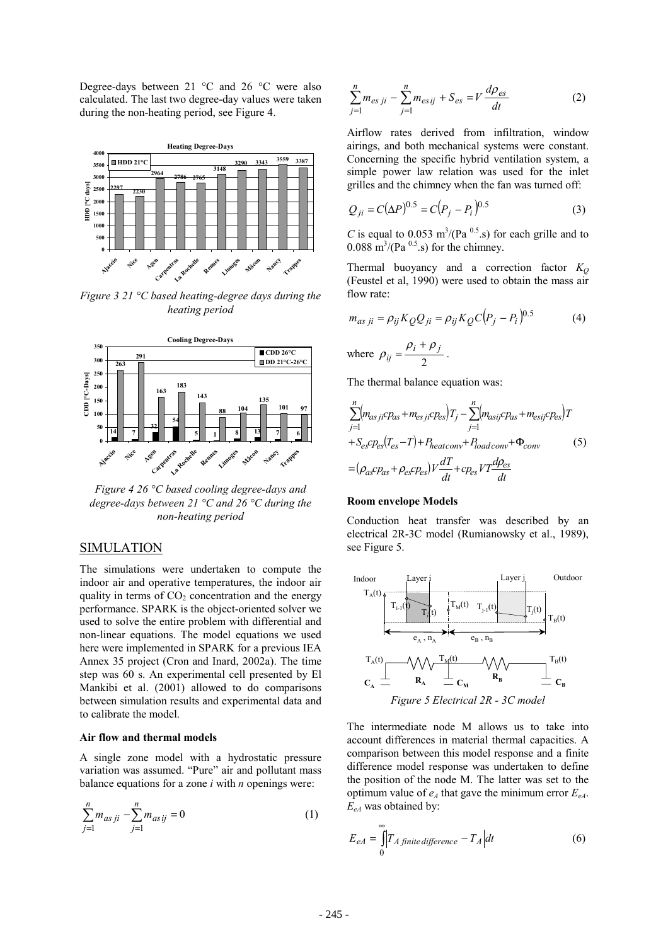Degree-days between 21 °C and 26 °C were also calculated. The last two degree-day values were taken during the non-heating period, see Figure 4.



*Figure 3 21 °C based heating-degree days during the heating period*



*Figure 4 26 °C based cooling degree-days and degree-days between 21 °C and 26 °C during the non-heating period*

## SIMULATION

The simulations were undertaken to compute the indoor air and operative temperatures, the indoor air quality in terms of  $CO<sub>2</sub>$  concentration and the energy performance. SPARK is the object-oriented solver we used to solve the entire problem with differential and non-linear equations. The model equations we used here were implemented in SPARK for a previous IEA Annex 35 project (Cron and Inard, 2002a). The time step was 60 s. An experimental cell presented by El Mankibi et al. (2001) allowed to do comparisons between simulation results and experimental data and to calibrate the model.

#### **Air flow and thermal models**

A single zone model with a hydrostatic pressure variation was assumed. "Pure" air and pollutant mass balance equations for a zone *i* with *n* openings were:

$$
\sum_{j=1}^{n} m_{as\,ji} - \sum_{j=1}^{n} m_{as\,ij} = 0 \tag{1}
$$

$$
\sum_{j=1}^{n} m_{es\,ji} - \sum_{j=1}^{n} m_{es\,ij} + S_{es} = V \frac{d\rho_{es}}{dt}
$$
 (2)

Airflow rates derived from infiltration, window airings, and both mechanical systems were constant. Concerning the specific hybrid ventilation system, a simple power law relation was used for the inlet grilles and the chimney when the fan was turned off:

$$
Q_{ji} = C(\Delta P)^{0.5} = C(P_j - P_i)^{0.5}
$$
 (3)

C is equal to  $0.053 \text{ m}^3 / (\text{Pa}^{0.5} \text{ s})$  for each grille and to  $0.088 \text{ m}^3 / (\text{Pa}^{0.5} \text{ s})$  for the chimney.

Thermal buoyancy and a correction factor  $K<sub>Q</sub>$ (Feustel et al, 1990) were used to obtain the mass air flow rate:

$$
m_{as\ ji} = \rho_{ij} K_Q Q_{ji} = \rho_{ij} K_Q C (P_j - P_i)^{0.5}
$$
\n(4)

\nwhere 
$$
\rho_{ij} = \frac{\rho_i + \rho_j}{2}
$$
.

The thermal balance equation was:

$$
\sum_{j=1}^{n} (m_{asji}cp_{as} + m_{esji}cp_{es})T_j - \sum_{j=1}^{n} (m_{asij}cp_{as} + m_{esij}cp_{es})T
$$
  
+
$$
S_{es}cp_{es}(T_{es}-T) + P_{heatconv} + P_{loadconv} + \Phi_{conv}
$$
(5)  
=
$$
(\rho_{as}cp_{as} + \rho_{es}cp_{es})V\frac{dT}{dt} + cp_{es}VT\frac{d\rho_{es}}{dt}
$$

#### **Room envelope Models**

Conduction heat transfer was described by an electrical 2R-3C model (Rumianowsky et al., 1989), see Figure 5.



*Figure 5 Electrical 2R - 3C model*

The intermediate node M allows us to take into account differences in material thermal capacities. A comparison between this model response and a finite difference model response was undertaken to define the position of the node M. The latter was set to the optimum value of  $e_A$  that gave the minimum error  $E_{eA}$ .  $E_{eA}$  was obtained by:

$$
E_{eA} = \int_{0}^{\infty} \left| T_{A\text{ finite difference}} - T_{A} \right| dt \tag{6}
$$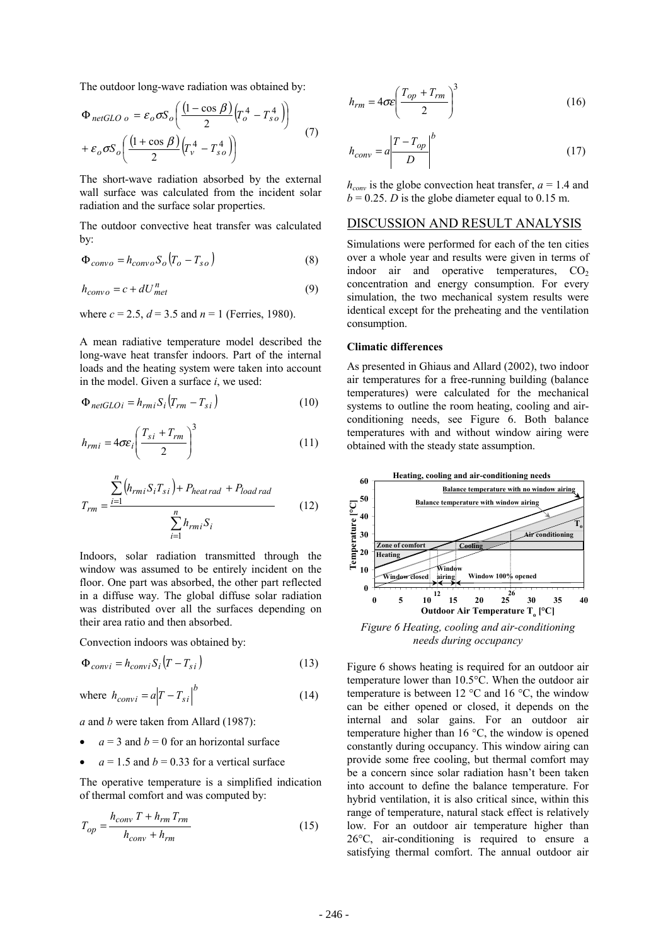The outdoor long-wave radiation was obtained by:

$$
\Phi_{netGLO\ o} = \varepsilon_o \sigma S_o \left( \frac{(1 - \cos \beta)}{2} \left( T_o^4 - T_{so}^4 \right) \right) \n+ \varepsilon_o \sigma S_o \left( \frac{(1 + \cos \beta)}{2} \left( T_v^4 - T_{so}^4 \right) \right)
$$
\n(7)

The short-wave radiation absorbed by the external wall surface was calculated from the incident solar radiation and the surface solar properties.

The outdoor convective heat transfer was calculated by:

$$
\Phi_{convo} = h_{convo} S_o (T_o - T_{so})
$$
\n(8)

$$
h_{convo} = c + dU_{met}^{n}
$$
 (9)

where  $c = 2.5$ ,  $d = 3.5$  and  $n = 1$  (Ferries, 1980).

A mean radiative temperature model described the long-wave heat transfer indoors. Part of the internal loads and the heating system were taken into account in the model. Given a surface *i*, we used:

$$
\Phi_{netGLOi} = h_{rmi} S_i (T_{rm} - T_{si})
$$
\n(10)

$$
h_{rmi} = 4\sigma \varepsilon_i \left(\frac{T_{si} + T_{rm}}{2}\right)^3 \tag{11}
$$

$$
T_{rm} = \frac{\sum_{i=1}^{n} (h_{rm} S_i T_{si}) + P_{heat\,rad} + P_{load\,rad}}{\sum_{i=1}^{n} h_{rm} S_i}
$$
(12)

Indoors, solar radiation transmitted through the window was assumed to be entirely incident on the floor. One part was absorbed, the other part reflected in a diffuse way. The global diffuse solar radiation was distributed over all the surfaces depending on their area ratio and then absorbed.

Convection indoors was obtained by:

$$
\Phi_{convi} = h_{convi} S_i \left( T - T_{si} \right) \tag{13}
$$

where 
$$
h_{convi} = a |T - T_{si}|^b
$$
 (14)

*a* and *b* were taken from Allard (1987):

- $a = 3$  and  $b = 0$  for an horizontal surface
- $a = 1.5$  and  $b = 0.33$  for a vertical surface

The operative temperature is a simplified indication of thermal comfort and was computed by:

$$
T_{op} = \frac{h_{conv} T + h_{rm} T_{rm}}{h_{conv} + h_{rm}} \tag{15}
$$

$$
h_{rm} = 4\sigma \varepsilon \left(\frac{T_{op} + T_{rm}}{2}\right)^3 \tag{16}
$$

$$
h_{conv} = a \left| \frac{T - T_{op}}{D} \right|^b \tag{17}
$$

 $h_{conv}$  is the globe convection heat transfer,  $a = 1.4$  and  $b = 0.25$ . *D* is the globe diameter equal to 0.15 m.

## DISCUSSION AND RESULT ANALYSIS

Simulations were performed for each of the ten cities over a whole year and results were given in terms of indoor air and operative temperatures,  $CO<sub>2</sub>$ concentration and energy consumption. For every simulation, the two mechanical system results were identical except for the preheating and the ventilation consumption.

#### **Climatic differences**

As presented in Ghiaus and Allard (2002), two indoor air temperatures for a free-running building (balance temperatures) were calculated for the mechanical systems to outline the room heating, cooling and airconditioning needs, see Figure 6. Both balance temperatures with and without window airing were obtained with the steady state assumption.



*Figure 6 Heating, cooling and air-conditioning needs during occupancy*

Figure 6 shows heating is required for an outdoor air temperature lower than 10.5°C. When the outdoor air temperature is between 12  $^{\circ}$ C and 16  $^{\circ}$ C, the window can be either opened or closed, it depends on the internal and solar gains. For an outdoor air temperature higher than 16 °C, the window is opened constantly during occupancy. This window airing can provide some free cooling, but thermal comfort may be a concern since solar radiation hasn't been taken into account to define the balance temperature. For hybrid ventilation, it is also critical since, within this range of temperature, natural stack effect is relatively low. For an outdoor air temperature higher than 26°C, air-conditioning is required to ensure a satisfying thermal comfort. The annual outdoor air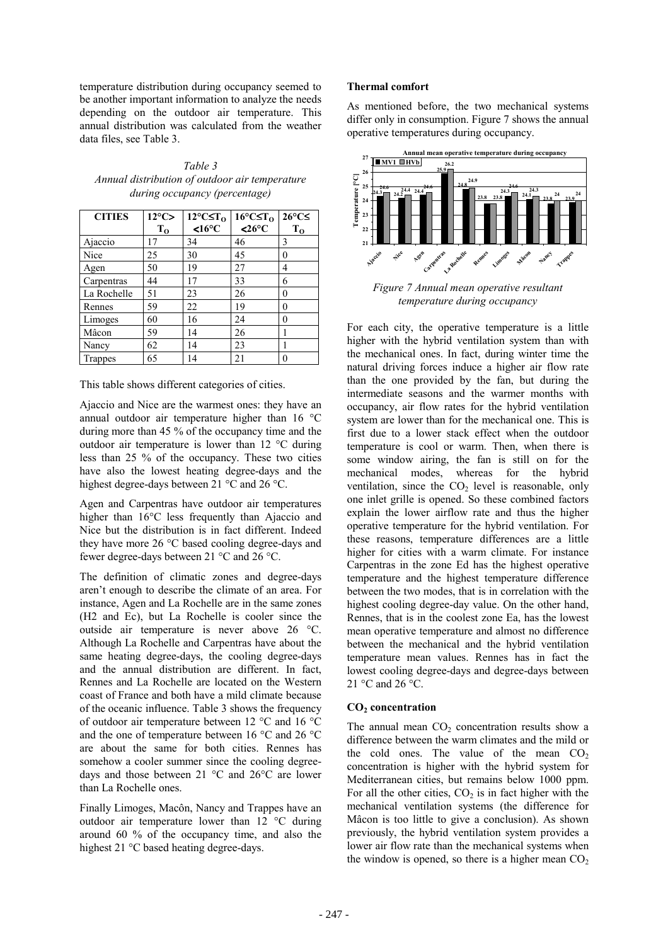temperature distribution during occupancy seemed to be another important information to analyze the needs depending on the outdoor air temperature. This annual distribution was calculated from the weather data files, see Table 3.

*Table 3 Annual distribution of outdoor air temperature during occupancy (percentage)*

| <b>CITIES</b>  | $12^{\circ}$ C> | $12^{\circ}$ C $\leq$ T <sub>0</sub> | $16^{\circ}$ C $\leq$ T <sub>0</sub> | $26^{\circ}$ C $\leq$ |
|----------------|-----------------|--------------------------------------|--------------------------------------|-----------------------|
|                | $T_{0}$         | <16°C                                | $<26\textdegree C$                   | $T_{0}$               |
| Ajaccio        | 17              | 34                                   | 46                                   | 3                     |
| Nice           | 25              | 30                                   | 45                                   | $\theta$              |
| Agen           | 50              | 19                                   | 27                                   | 4                     |
| Carpentras     | 44              | 17                                   | 33                                   | 6                     |
| La Rochelle    | 51              | 23                                   | 26                                   | 0                     |
| Rennes         | 59              | 22                                   | 19                                   | $\theta$              |
| Limoges        | 60              | 16                                   | 24                                   | $\theta$              |
| Mâcon          | 59              | 14                                   | 26                                   |                       |
| Nancy          | 62              | 14                                   | 23                                   |                       |
| <b>Trappes</b> | 65              | 14                                   | 21                                   | $\theta$              |

This table shows different categories of cities.

Ajaccio and Nice are the warmest ones: they have an annual outdoor air temperature higher than 16 °C during more than 45 % of the occupancy time and the outdoor air temperature is lower than 12 °C during less than 25 % of the occupancy. These two cities have also the lowest heating degree-days and the highest degree-days between 21 °C and 26 °C.

Agen and Carpentras have outdoor air temperatures higher than 16°C less frequently than Ajaccio and Nice but the distribution is in fact different. Indeed they have more 26 °C based cooling degree-days and fewer degree-days between 21 °C and 26 °C.

The definition of climatic zones and degree-days aren't enough to describe the climate of an area. For instance, Agen and La Rochelle are in the same zones (H2 and Ec), but La Rochelle is cooler since the outside air temperature is never above 26 °C. Although La Rochelle and Carpentras have about the same heating degree-days, the cooling degree-days and the annual distribution are different. In fact, Rennes and La Rochelle are located on the Western coast of France and both have a mild climate because of the oceanic influence. Table 3 shows the frequency of outdoor air temperature between 12 °C and 16 °C and the one of temperature between 16 °C and 26 °C are about the same for both cities. Rennes has somehow a cooler summer since the cooling degreedays and those between 21 °C and 26°C are lower than La Rochelle ones.

Finally Limoges, Macôn, Nancy and Trappes have an outdoor air temperature lower than 12 °C during around 60 % of the occupancy time, and also the highest 21 °C based heating degree-days.

### **Thermal comfort**

As mentioned before, the two mechanical systems differ only in consumption. Figure 7 shows the annual operative temperatures during occupancy.



*Figure 7 Annual mean operative resultant temperature during occupancy*

For each city, the operative temperature is a little higher with the hybrid ventilation system than with the mechanical ones. In fact, during winter time the natural driving forces induce a higher air flow rate than the one provided by the fan, but during the intermediate seasons and the warmer months with occupancy, air flow rates for the hybrid ventilation system are lower than for the mechanical one. This is first due to a lower stack effect when the outdoor temperature is cool or warm. Then, when there is some window airing, the fan is still on for the mechanical modes, whereas for the hybrid ventilation, since the  $CO<sub>2</sub>$  level is reasonable, only one inlet grille is opened. So these combined factors explain the lower airflow rate and thus the higher operative temperature for the hybrid ventilation. For these reasons, temperature differences are a little higher for cities with a warm climate. For instance Carpentras in the zone Ed has the highest operative temperature and the highest temperature difference between the two modes, that is in correlation with the highest cooling degree-day value. On the other hand, Rennes, that is in the coolest zone Ea, has the lowest mean operative temperature and almost no difference between the mechanical and the hybrid ventilation temperature mean values. Rennes has in fact the lowest cooling degree-days and degree-days between 21 °C and 26 °C.

### **CO2 concentration**

The annual mean  $CO<sub>2</sub>$  concentration results show a difference between the warm climates and the mild or the cold ones. The value of the mean  $CO<sub>2</sub>$ concentration is higher with the hybrid system for Mediterranean cities, but remains below 1000 ppm. For all the other cities,  $CO<sub>2</sub>$  is in fact higher with the mechanical ventilation systems (the difference for Mâcon is too little to give a conclusion). As shown previously, the hybrid ventilation system provides a lower air flow rate than the mechanical systems when the window is opened, so there is a higher mean  $CO<sub>2</sub>$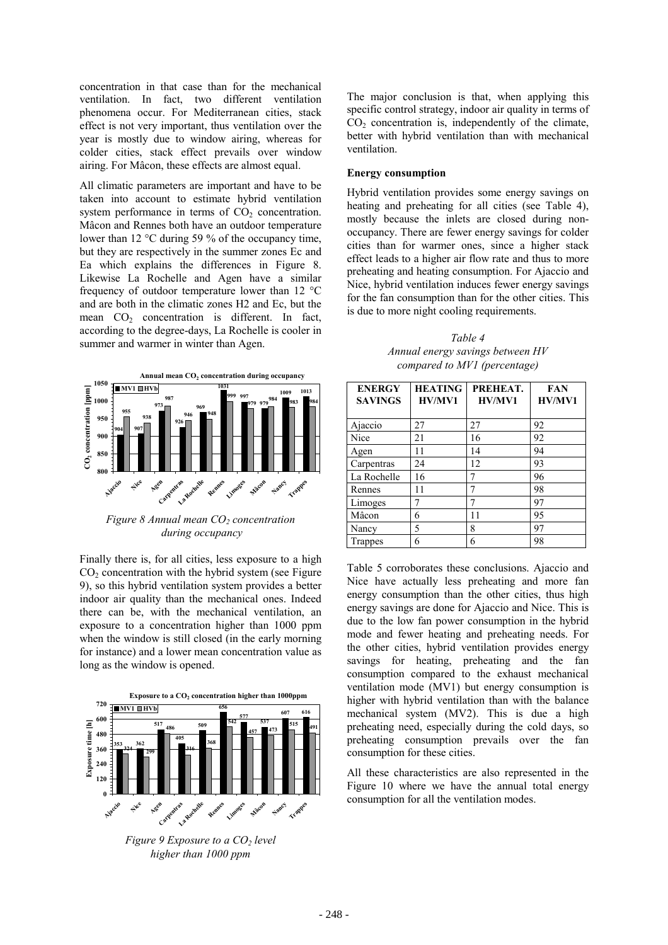concentration in that case than for the mechanical ventilation. In fact, two different ventilation phenomena occur. For Mediterranean cities, stack effect is not very important, thus ventilation over the year is mostly due to window airing, whereas for colder cities, stack effect prevails over window airing. For Mâcon, these effects are almost equal.

All climatic parameters are important and have to be taken into account to estimate hybrid ventilation system performance in terms of  $CO<sub>2</sub>$  concentration. Mâcon and Rennes both have an outdoor temperature lower than 12 °C during 59 % of the occupancy time, but they are respectively in the summer zones Ec and Ea which explains the differences in Figure 8. Likewise La Rochelle and Agen have a similar frequency of outdoor temperature lower than 12  $^{\circ}$ C and are both in the climatic zones H2 and Ec, but the mean  $CO<sub>2</sub>$  concentration is different. In fact, according to the degree-days, La Rochelle is cooler in summer and warmer in winter than Agen.



*Figure 8 Annual mean CO<sub>2</sub> concentration during occupancy*

Finally there is, for all cities, less exposure to a high  $CO<sub>2</sub>$  concentration with the hybrid system (see Figure) 9), so this hybrid ventilation system provides a better indoor air quality than the mechanical ones. Indeed there can be, with the mechanical ventilation, an exposure to a concentration higher than 1000 ppm when the window is still closed (in the early morning for instance) and a lower mean concentration value as long as the window is opened.



*Figure 9 Exposure to a CO<sub>2</sub> level higher than 1000 ppm*

The major conclusion is that, when applying this specific control strategy, indoor air quality in terms of  $CO<sub>2</sub>$  concentration is, independently of the climate, better with hybrid ventilation than with mechanical ventilation.

#### **Energy consumption**

Hybrid ventilation provides some energy savings on heating and preheating for all cities (see Table 4), mostly because the inlets are closed during nonoccupancy. There are fewer energy savings for colder cities than for warmer ones, since a higher stack effect leads to a higher air flow rate and thus to more preheating and heating consumption. For Ajaccio and Nice, hybrid ventilation induces fewer energy savings for the fan consumption than for the other cities. This is due to more night cooling requirements.

*Table 4 Annual energy savings between HV compared to MV1 (percentage)*

| <b>ENERGY</b><br><b>SAVINGS</b> | <b>HEATING</b><br>HV/MV1 | PREHEAT.<br>HV/MV1 | <b>FAN</b><br>HV/MV1 |
|---------------------------------|--------------------------|--------------------|----------------------|
| Ajaccio                         | 27                       | 27                 | 92                   |
| Nice                            | 21                       | 16                 | 92                   |
| Agen                            | 11                       | 14                 | 94                   |
| Carpentras                      | 24                       | 12                 | 93                   |
| La Rochelle                     | 16                       |                    | 96                   |
| Rennes                          | 11                       | 7                  | 98                   |
| Limoges                         |                          | 7                  | 97                   |
| Mâcon                           | 6                        | 11                 | 95                   |
| Nancy                           | 5                        | 8                  | 97                   |
| Trappes                         | 6                        | 6                  | 98                   |

Table 5 corroborates these conclusions. Ajaccio and Nice have actually less preheating and more fan energy consumption than the other cities, thus high energy savings are done for Ajaccio and Nice. This is due to the low fan power consumption in the hybrid mode and fewer heating and preheating needs. For the other cities, hybrid ventilation provides energy savings for heating, preheating and the fan consumption compared to the exhaust mechanical ventilation mode (MV1) but energy consumption is higher with hybrid ventilation than with the balance mechanical system (MV2). This is due a high preheating need, especially during the cold days, so preheating consumption prevails over the fan consumption for these cities.

All these characteristics are also represented in the Figure 10 where we have the annual total energy consumption for all the ventilation modes.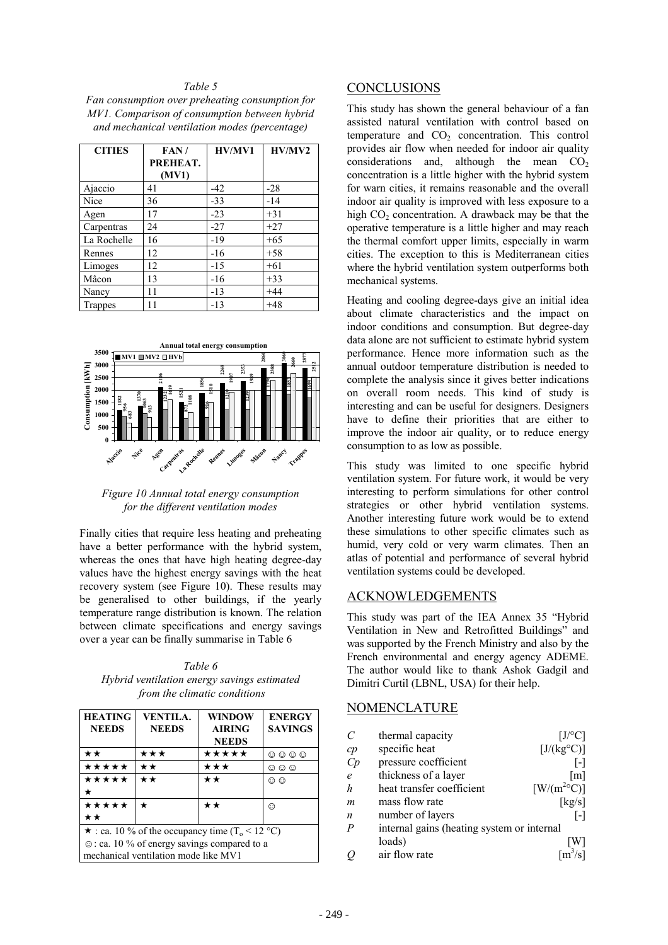#### *Table 5*

*Fan consumption over preheating consumption for MV1. Comparison of consumption between hybrid and mechanical ventilation modes (percentage)*

| <b>CITIES</b>  | FAN/<br>PREHEAT.<br>(MV1) | HV/MV1 | HV/MV2 |
|----------------|---------------------------|--------|--------|
| Ajaccio        | 41                        | $-42$  | $-28$  |
| Nice           | 36                        | $-33$  | $-14$  |
| Agen           | 17                        | $-23$  | $+31$  |
| Carpentras     | 24                        | $-27$  | $+27$  |
| La Rochelle    | 16                        | $-19$  | $+65$  |
| Rennes         | 12                        | $-16$  | $+58$  |
| Limoges        | 12                        | $-15$  | $+61$  |
| Mâcon          | 13                        | $-16$  | $+33$  |
| Nancy          | 11                        | $-13$  | $+44$  |
| <b>Trappes</b> | 11                        | $-13$  | $+48$  |



*Figure 10 Annual total energy consumption for the different ventilation modes*

Finally cities that require less heating and preheating have a better performance with the hybrid system, whereas the ones that have high heating degree-day values have the highest energy savings with the heat recovery system (see Figure 10). These results may be generalised to other buildings, if the yearly temperature range distribution is known. The relation between climate specifications and energy savings over a year can be finally summarise in Table 6

*Table 6 Hybrid ventilation energy savings estimated from the climatic conditions*

| <b>HEATING</b><br><b>NEEDS</b>                                                                                                                                  | <b>VENTILA.</b><br><b>NEEDS</b> | <b>WINDOW</b><br><b>AIRING</b><br><b>NEEDS</b> | <b>ENERGY</b><br><b>SAVINGS</b> |
|-----------------------------------------------------------------------------------------------------------------------------------------------------------------|---------------------------------|------------------------------------------------|---------------------------------|
| **                                                                                                                                                              | ★★★                             | *****                                          | ☺<br>☺<br>☺<br>⊙                |
| *****                                                                                                                                                           | **                              | ★★★                                            | ⊙<br>☺<br>☺                     |
| *****                                                                                                                                                           | $\star\star$                    | **                                             | $\odot$ $\odot$                 |
| *****<br>**                                                                                                                                                     | *                               | **                                             | ⊙                               |
| $\star$ : ca. 10 % of the occupancy time (T <sub>o</sub> < 12 °C)<br>$\odot$ : ca. 10 % of energy savings compared to a<br>mechanical ventilation mode like MV1 |                                 |                                                |                                 |

### **CONCLUSIONS**

This study has shown the general behaviour of a fan assisted natural ventilation with control based on temperature and  $CO<sub>2</sub>$  concentration. This control provides air flow when needed for indoor air quality considerations and, although the mean  $CO<sub>2</sub>$ concentration is a little higher with the hybrid system for warn cities, it remains reasonable and the overall indoor air quality is improved with less exposure to a high  $CO<sub>2</sub>$  concentration. A drawback may be that the operative temperature is a little higher and may reach the thermal comfort upper limits, especially in warm cities. The exception to this is Mediterranean cities where the hybrid ventilation system outperforms both mechanical systems.

Heating and cooling degree-days give an initial idea about climate characteristics and the impact on indoor conditions and consumption. But degree-day data alone are not sufficient to estimate hybrid system performance. Hence more information such as the annual outdoor temperature distribution is needed to complete the analysis since it gives better indications on overall room needs. This kind of study is interesting and can be useful for designers. Designers have to define their priorities that are either to improve the indoor air quality, or to reduce energy consumption to as low as possible.

This study was limited to one specific hybrid ventilation system. For future work, it would be very interesting to perform simulations for other control strategies or other hybrid ventilation systems. Another interesting future work would be to extend these simulations to other specific climates such as humid, very cold or very warm climates. Then an atlas of potential and performance of several hybrid ventilation systems could be developed.

## ACKNOWLEDGEMENTS

This study was part of the IEA Annex 35 "Hybrid Ventilation in New and Retrofitted Buildings" and was supported by the French Ministry and also by the French environmental and energy agency ADEME. The author would like to thank Ashok Gadgil and Dimitri Curtil (LBNL, USA) for their help.

# NOMENCLATURE

| C        | thermal capacity                           | [J/°C]                                              |
|----------|--------------------------------------------|-----------------------------------------------------|
| $\it cp$ | specific heat                              | [J/(kg <sup>o</sup> C)]                             |
| Cp       | pressure coefficient                       | $\vert - \vert$                                     |
| e        | thickness of a layer                       | $\lceil m \rceil$                                   |
| h        | heat transfer coefficient                  | $\left[\text{W}/\text{(m}^{2\circ}\text{C})\right]$ |
| m        | mass flow rate                             | [kg/s]                                              |
| n        | number of layers                           | $\mathsf{L}$                                        |
| Ρ        | internal gains (heating system or internal |                                                     |
|          | loads)                                     | W                                                   |
| O        | air flow rate                              | $\overline{[m^3/s]}$                                |